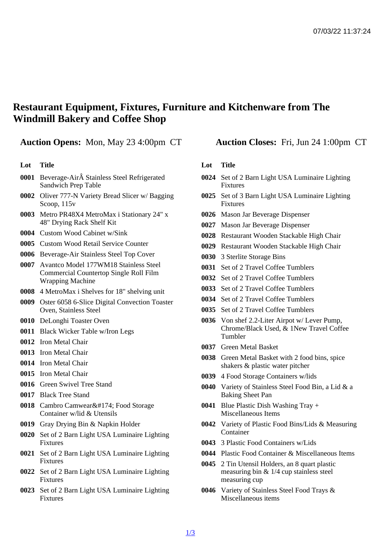## Restaurant Equipment, Fixtures, Furniture and Kitchenware from The Windmill Bakery and Coffee Shop

Auction Opens: Mon, May 23 4:00pm CT Auction Closes: Fri, Jun 24 1:00pm CT

## Lot Title

- 0001 Beverage-Air Stainless Steel Refrigerated Sandwich Prep Table
- 0002 Oliver 777-N Variety Bread Slicer w/ Bagging Scoop, 115v
- 0003 Metro PR48X4 MetroMax i Stationary 24" x 48" Drying Rack Shelf Kit
- 0004 Custom Wood Cabinet w/Sink
- 0005 Custom Wood Retail Service Counter
- 0006 Beverage-Air Stainless Steel Top Cover
- 0007 Avantco Model 177WM18 Stainless Steel Commercial Countertop Single Roll Film Wrapping Machine
- 0008 4 MetroMax i Shelves for 18" shelving unit
- 0009 Oster 6058 6-Slice Digital Convection Toaster Oven, Stainless Steel
- 0010 DeLonghi Toaster Oven
- 0011 Black Wicker Table w/Iron Legs
- 0012 Iron Metal Chair
- 0013 Iron Metal Chair
- 0014 Iron Metal Chair
- 0015 Iron Metal Chair
- 0016 Green Swivel Tree Stand
- 0017 Black Tree Stand
- 0018 Cambro Camwear® Food Storage Container w/lid & Utensils
- 0019 Gray Drying Bin & Napkin Holder
- 0020 Set of 2 Barn Light USA Luminaire Lighting Fixtures
- 0021 Set of 2 Barn Light USA Luminaire Lighting Fixtures
- 0022 Set of 2 Barn Light USA Luminaire Lighting Fixtures
- 0023 Set of 2 Barn Light USA Luminaire Lighting Fixtures

## Lot Title

- 0024 Set of 2 Barn Light USA Luminaire Lighting Fixtures
- 0025 Set of 3 Barn Light USA Luminaire Lighting Fixtures
- 0026 Mason Jar Beverage Dispenser
- 0027 Mason Jar Beverage Dispenser
- 0028 Restaurant Wooden Stackable High Chair
- 0029 Restaurant Wooden Stackable High Chair
- 0030 3 Sterlite Storage Bins
- 0031 Set of 2 Travel Coffee Tumblers
- 0032 Set of 2 Travel Coffee Tumblers
- 0033 Set of 2 Travel Coffee Tumblers
- 0034 Set of 2 Travel Coffee Tumblers
- 0035 Set of 2 Travel Coffee Tumblers
- 0036 Von shef 2.2-Liter Airpot w/ Lever Pump, Chrome/Black Used, & 1New Travel Coffee **Tumbler**
- 0037 Green Metal Basket
- 0038 Green Metal Basket with 2 food bins, spice shakers & plastic water pitcher
- 0039 4 Food Storage Containers w/lids
- 0040 Variety of Stainless Steel Food Bin, a Lid & a Baking Sheet Pan
- 0041 Blue Plastic Dish Washing Tray + Miscellaneous Items
- 0042 Variety of Plastic Food Bins/Lids & Measuring **Container**
- 0043 3 Plastic Food Containers w/Lids
- 0044 Plastic Food Container & Miscellaneous Items
- 0045 2 Tin Utensil Holders, an 8 quart plastic measuring bin & 1/4 cup stainless steel measuring cup
- 0046 Variety of Stainless Steel Food Trays & Miscellaneous items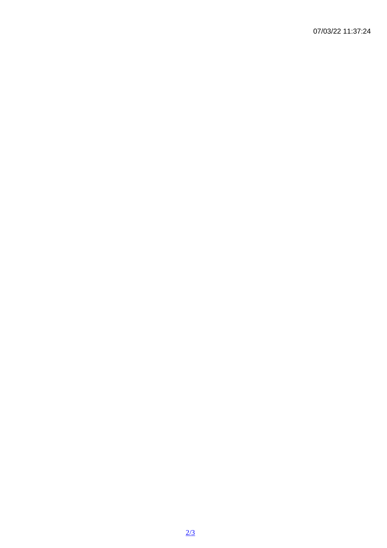$077007221107272$